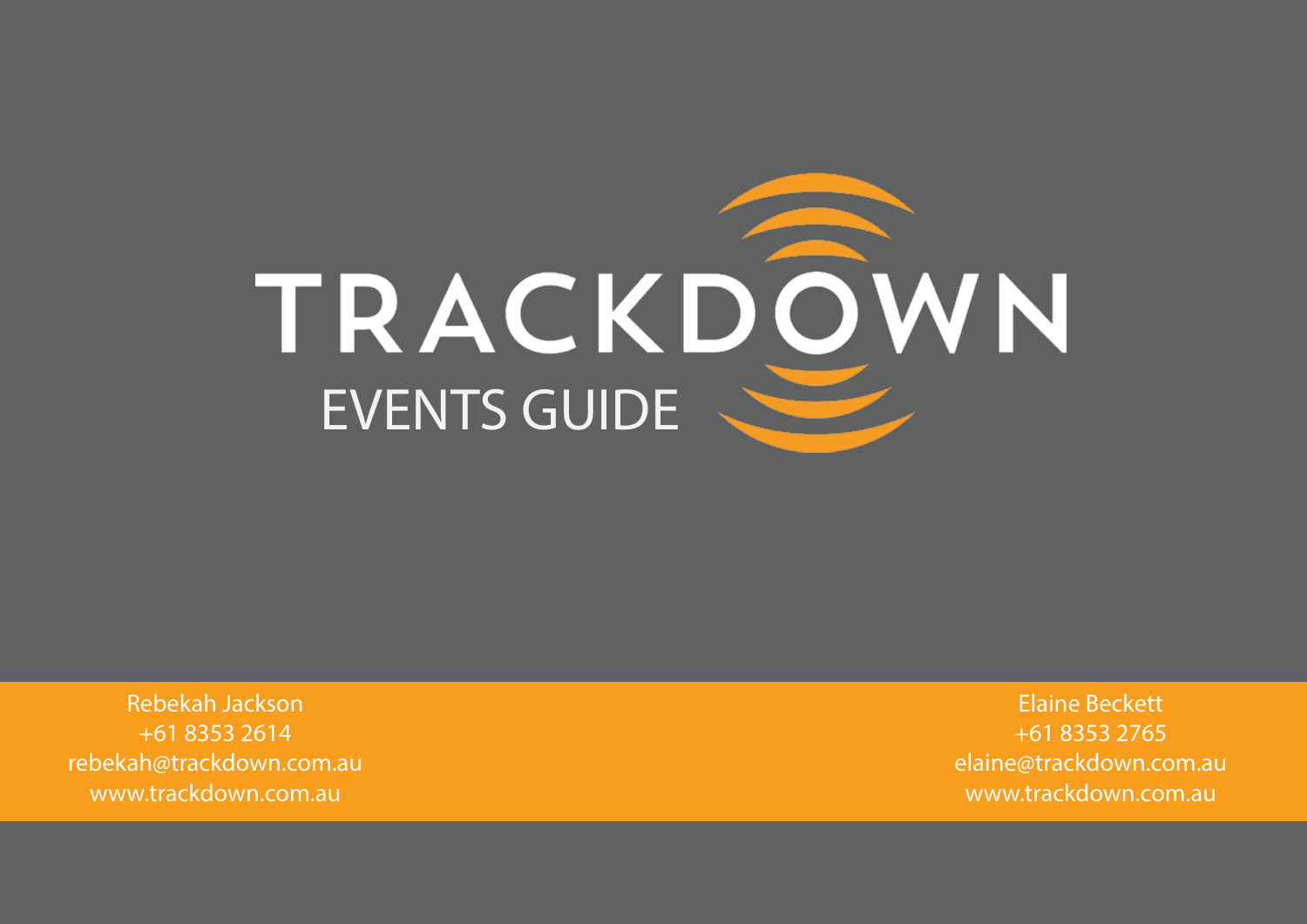

Rebekah Jackson +61 8353 2614 rebekah@trackdown.com.au www.trackdown.com.au

Elaine Beckett +61 8353 2765 elaine@trackdown.com.au www.trackdown.com.au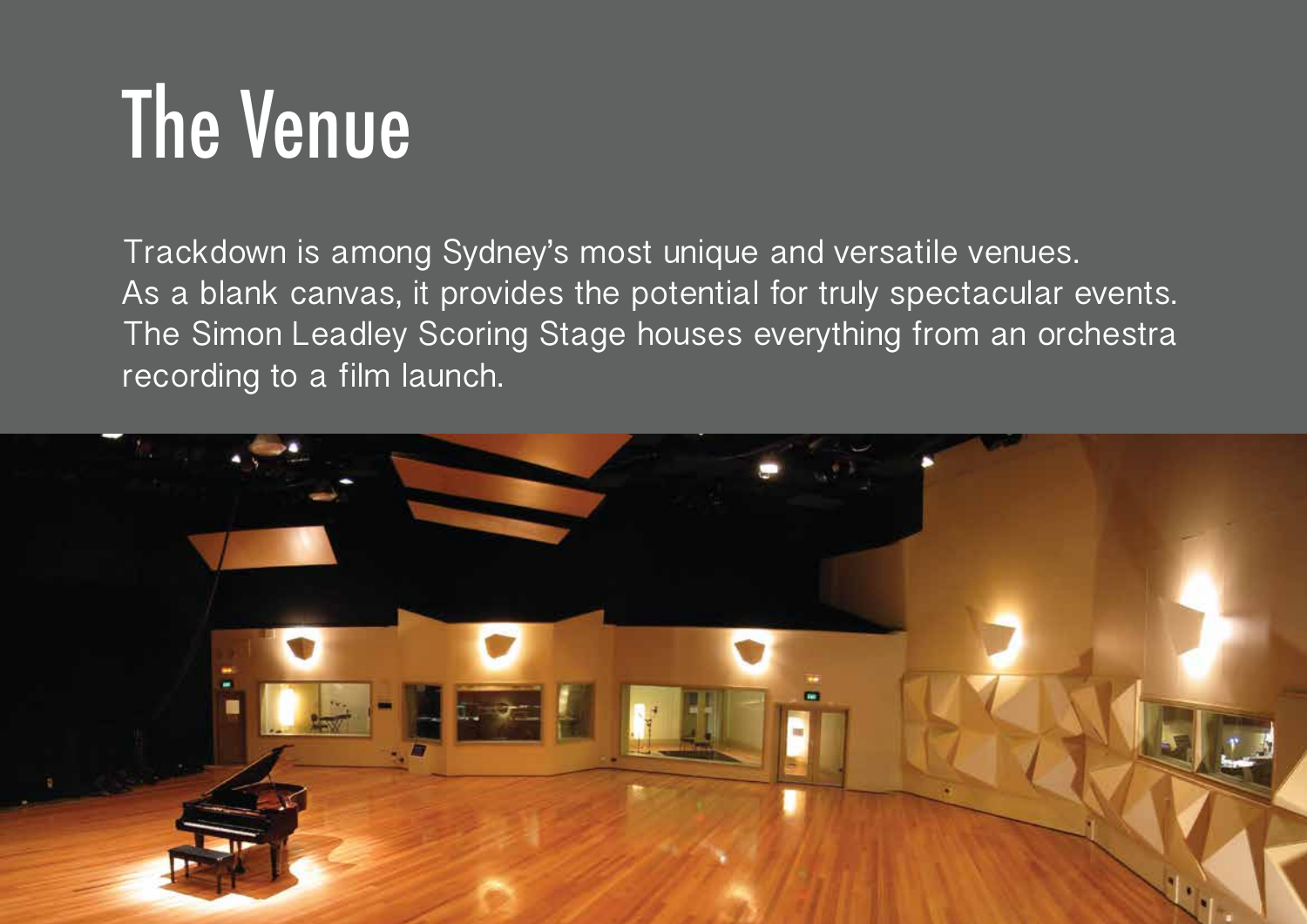## The Venue

Trackdown is among Sydney's most unique and versatile venues. As a blank canvas, it provides the potential for truly spectacular events. The Simon Leadley Scoring Stage houses everything from an orchestra recording to a film launch.

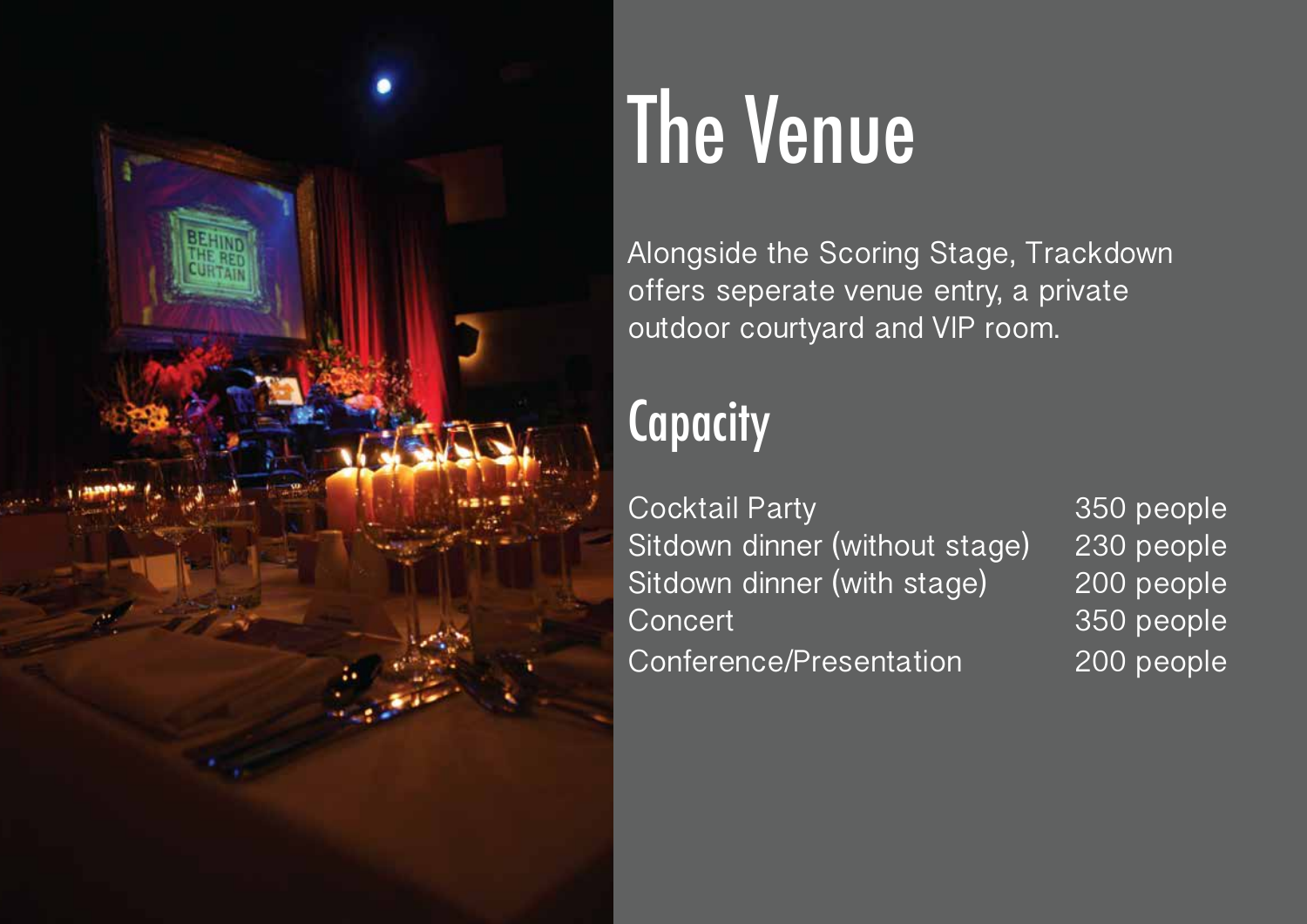

## The Venue

Alongside the Scoring Stage, Trackdown offers seperate venue entry, a private outdoor courtyard and VIP room.

#### **Capacity**

Cocktail Party<br>Sitdown dinner (without stage) 230 people Sitdown dinner (without stage) 230 people<br>Sitdown dinner (with stage) 200 people Sitdown dinner (with stage)<br>Concert Conference/Presentation 200 people

350 people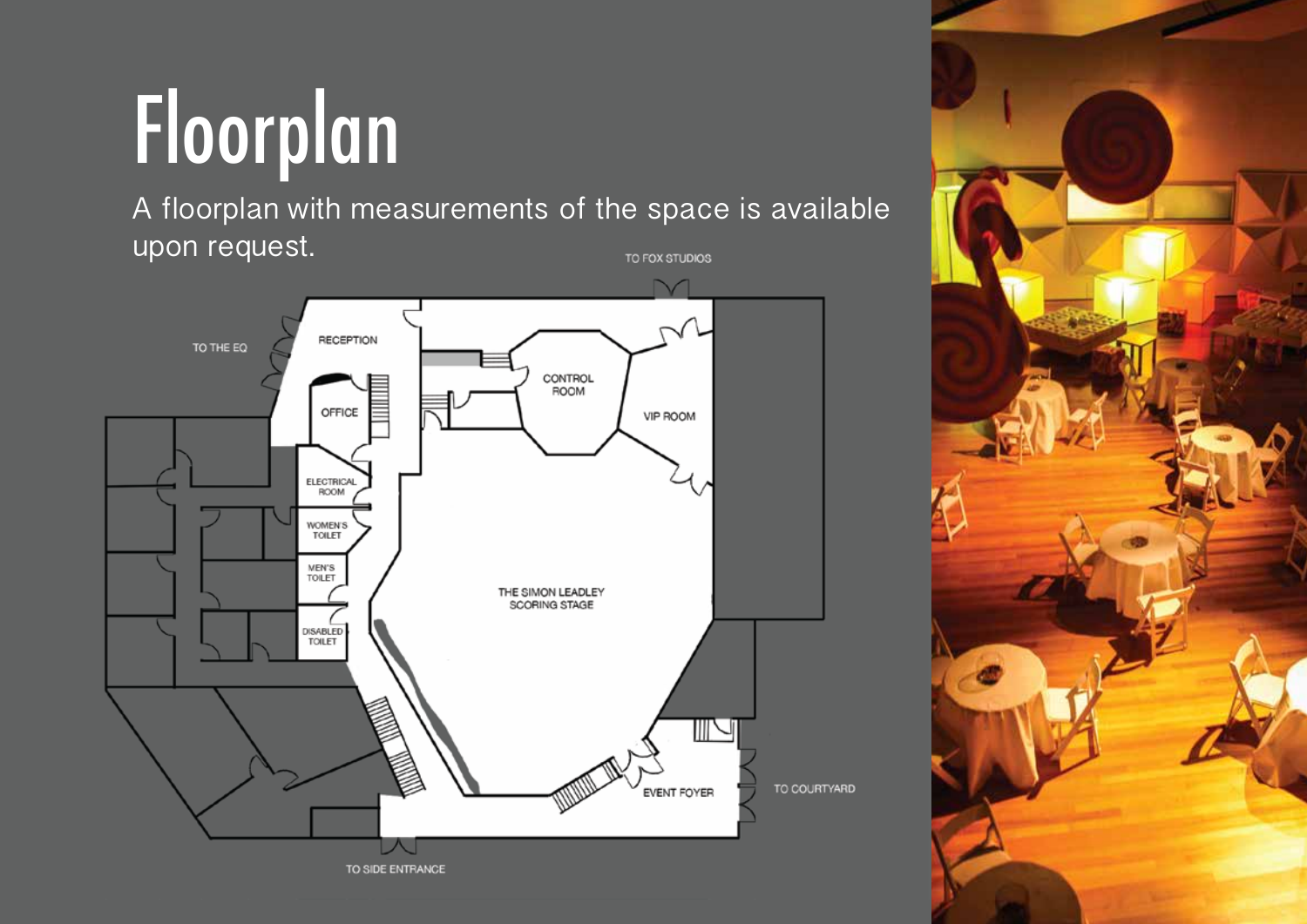## Floorplan

A floorplan with measurements of the space is available upon request. TO FOX STUDIOS



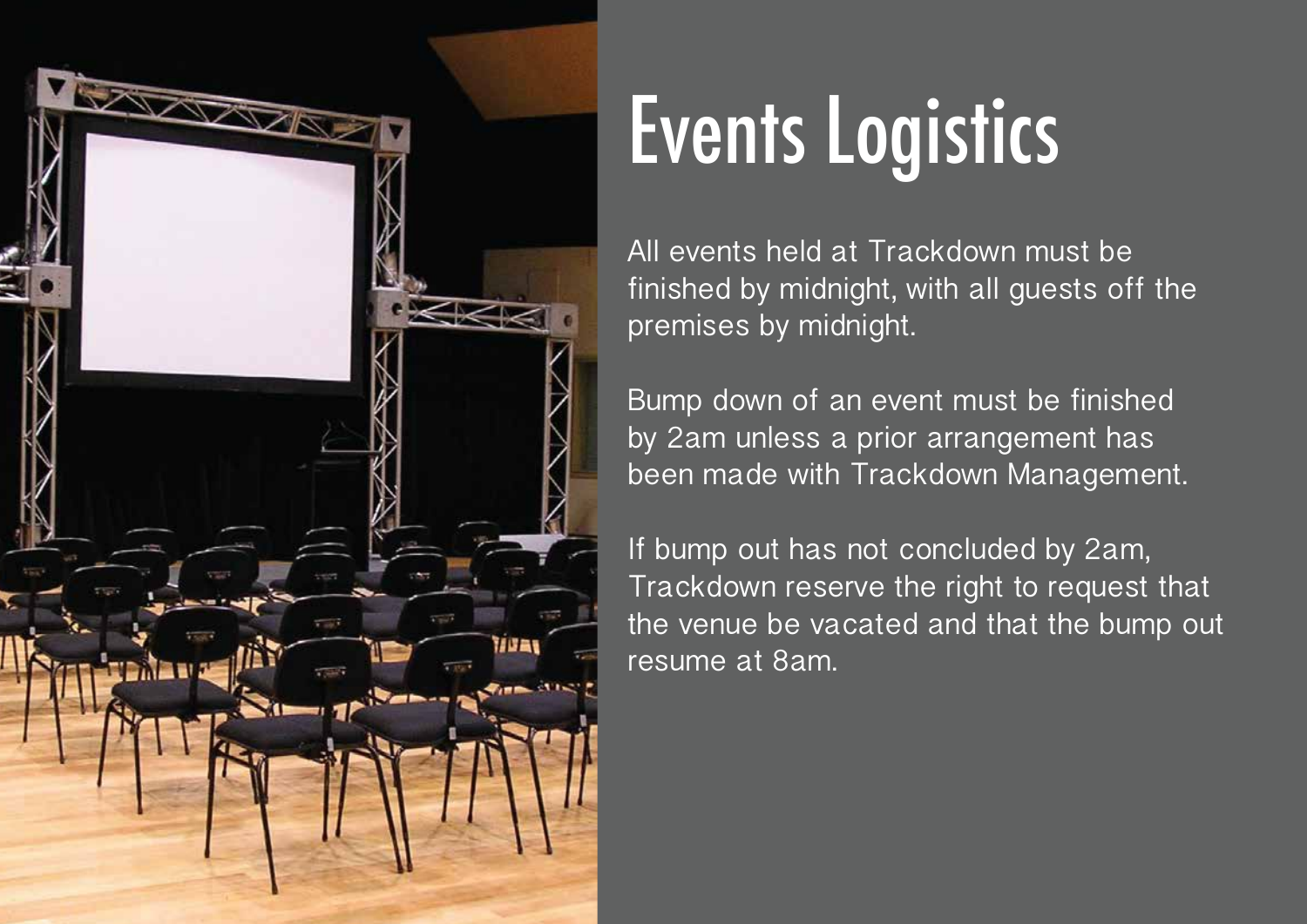

## Events Logistics

All events held at Trackdown must be finished by midnight, with all guests off the premises by midnight.

Bump down of an event must be finished by 2am unless a prior arrangement has been made with Trackdown Management.

If bump out has not concluded by 2am, Trackdown reserve the right to request that the venue be vacated and that the bump out resume at 8am.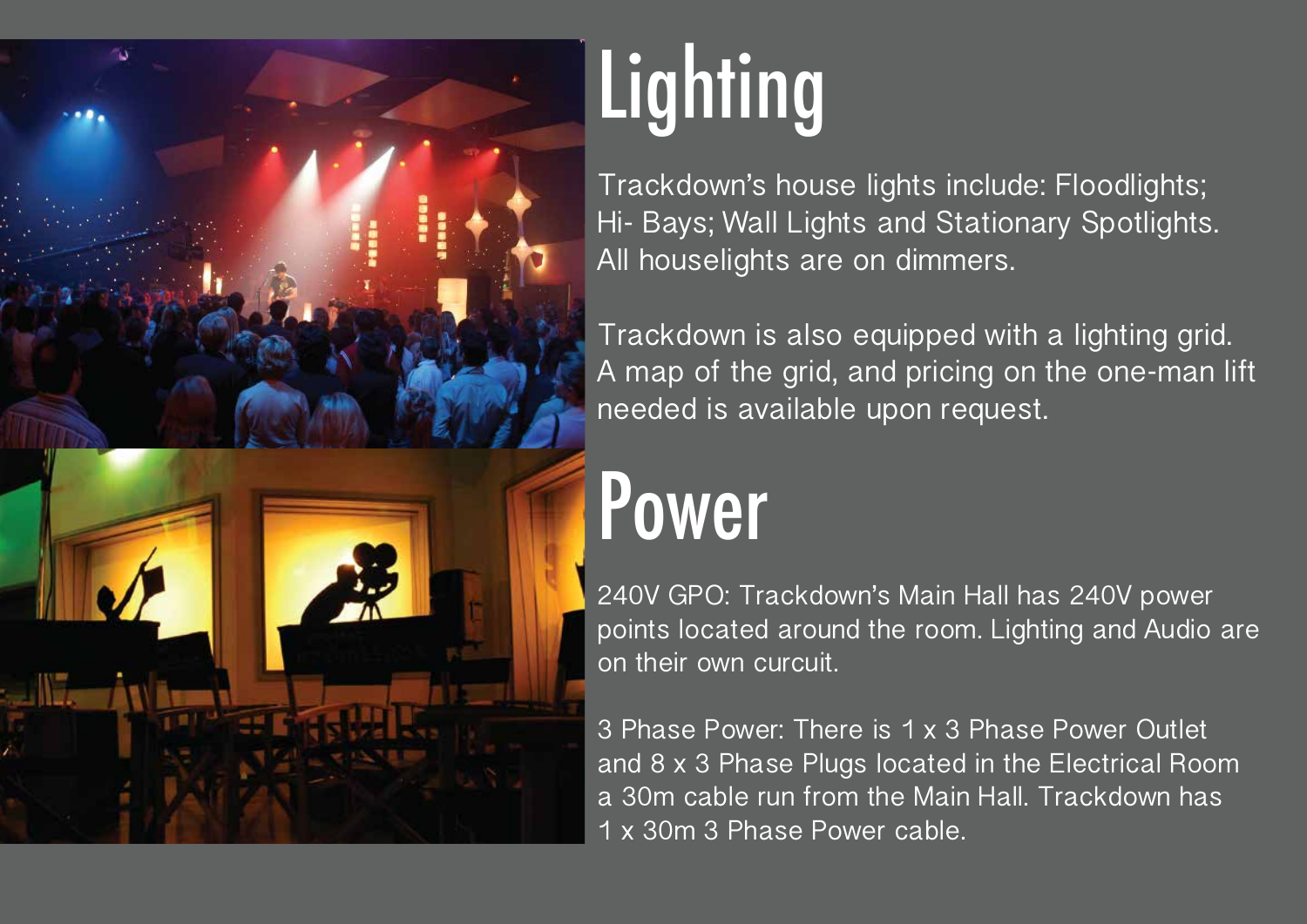

# **Lighting**

Trackdown's house lights include: Floodlights; Hi- Bays; Wall Lights and Stationary Spotlights. All houselights are on dimmers.

Trackdown is also equipped with a lighting grid. A map of the grid, and pricing on the one-man lift needed is available upon request.

#### Power

240V GPO: Trackdown's Main Hall has 240V power points located around the room. Lighting and Audio are on their own curcuit.

3 Phase Power: There is 1 x 3 Phase Power Outlet and 8 x 3 Phase Plugs located in the Electrical Room a 30m cable run from the Main Hall. Trackdown has 1 x 30m 3 Phase Power cable.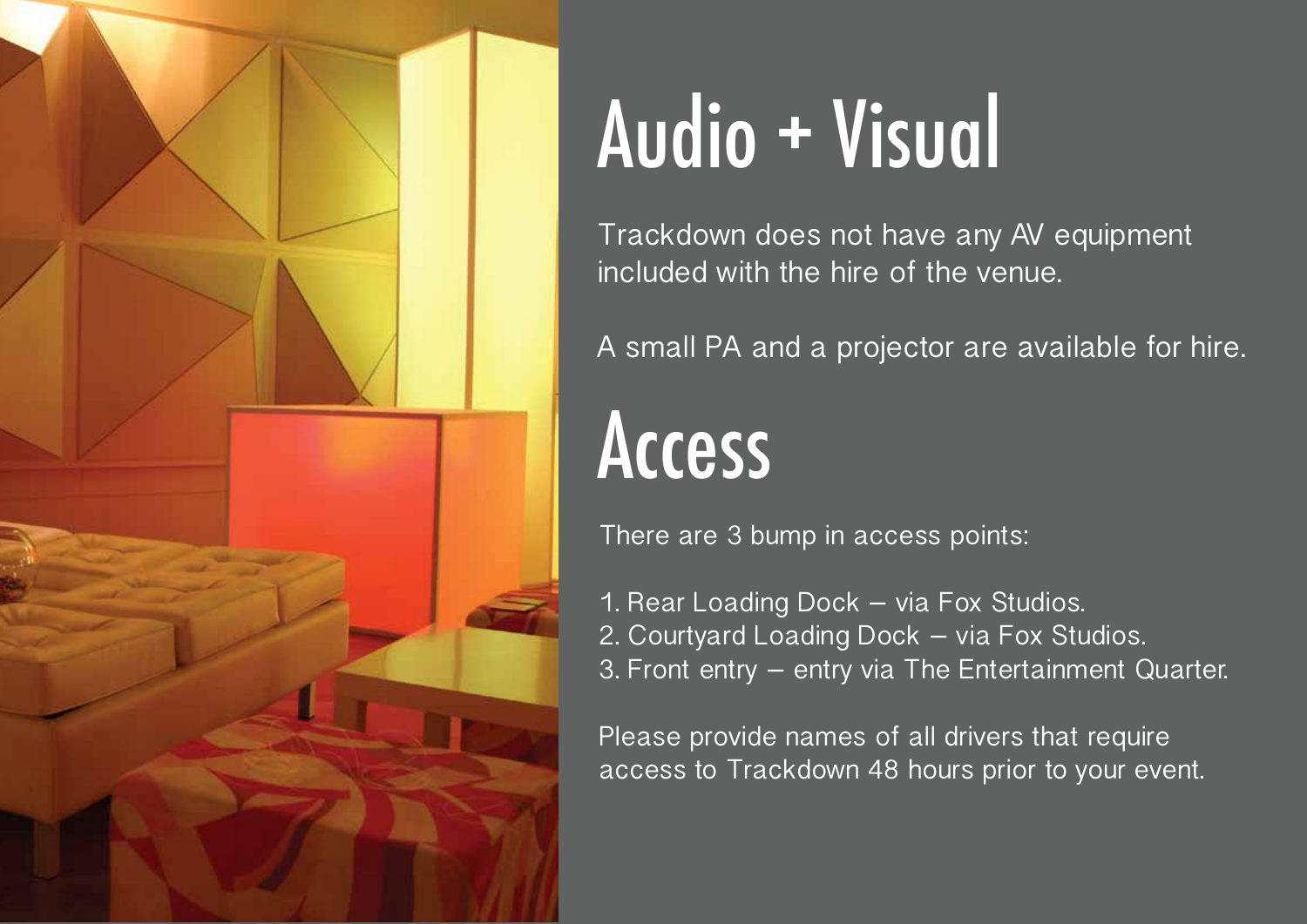

## Audio + Visual

Trackdown does not have any AV equipment included with the hire of the venue.

A small PA and a projector are available for hire.

#### Access

There are 3 bump in access points:

- 1. Rear Loading Dock via Fox Studios.
- 2. Courtyard Loading Dock via Fox Studios.
- 3. Front entry entry via The Entertainment Quarter.

Please provide names of all drivers that require access to Trackdown 48 hours prior to your event.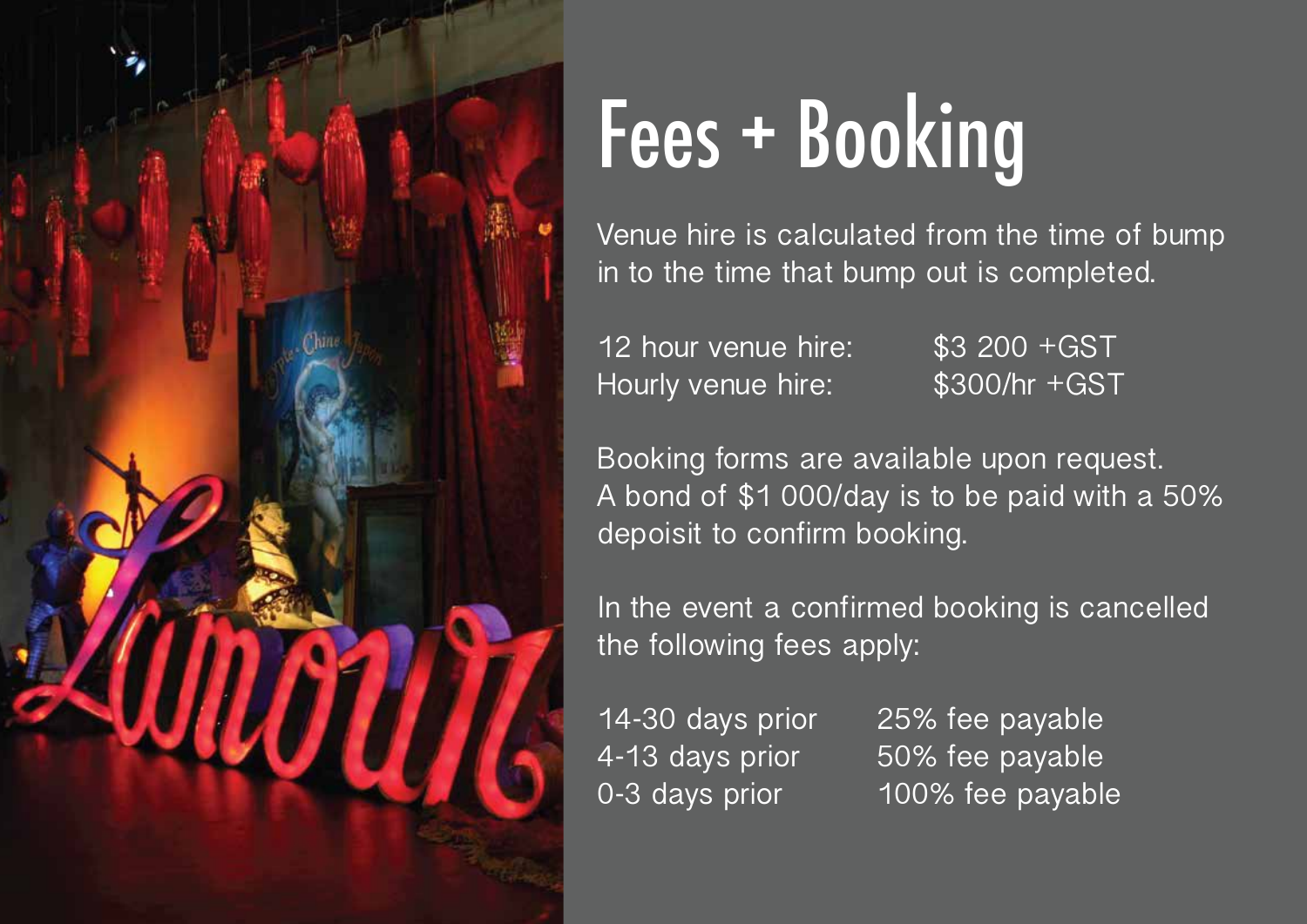

## Fees + Booking

Venue hire is calculated from the time of bump in to the time that bump out is completed.

12 hour venue hire: \$3 200 + GST<br>Hourly venue hire: \$300/hr + GST Hourly venue hire:

Booking forms are available upon request. A bond of \$1 000/day is to be paid with a 50% depoisit to confirm booking.

In the event a confirmed booking is cancelled the following fees apply:

14-30 days prior 25% fee payable<br>4-13 days prior 50% fee payable 4-13 days prior 50% fee payable<br>0-3 days prior 100% fee payabl 100% fee payable